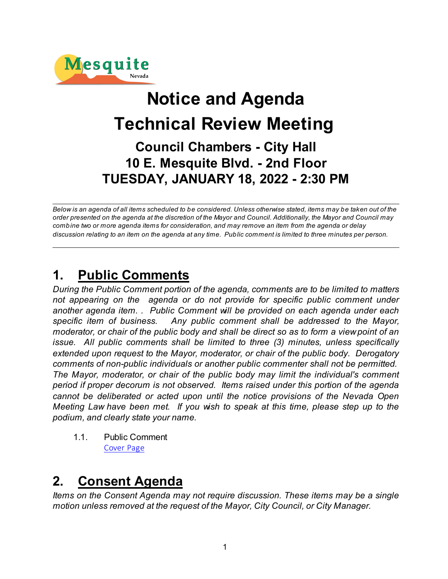

# **Notice and Agenda Technical Review Meeting Council Chambers - City Hall 10 E. Mesquite Blvd. - 2nd Floor TUESDAY, JANUARY 18, 2022 - 2:30 PM**

*Below is an agenda of all items scheduled to be considered. Unless otherwise stated, items may be taken out of the order presented on the agenda at the discretion of the Mayor and Council. Additionally, the Mayor and Council may combine two or more agenda items for consideration, and may remove an item from the agenda or delay discussion relating to an item on the agenda at any time. Public comment is limited to three minutes per person.*

## **1. Public Comments**

*During the Public Comment portion of the agenda, comments are to be limited to matters not appearing on the agenda or do not provide for specific public comment under another agenda item. . Public Comment will be provided on each agenda under each specific item of business. Any public comment shall be addressed to the Mayor, moderator, or chair of the public body and shall be direct so as to form a view point of an issue. All public comments shall be limited to three (3) minutes, unless specifically extended upon request to the Mayor, moderator, or chair of the public body. Derogatory comments of non-public individuals or another public commenter shall not be permitted. The Mayor, moderator, or chair of the public body may limit the individual's comment period if proper decorum is not observed. Items raised under this portion of the agenda cannot be deliberated or acted upon until the notice provisions of the Nevada Open Meeting Law have been met. If you wish to speak at this time, please step up to the podium, and clearly state your name.*

1.1. Public Comment [Cover Page](https://legistarweb-production.s3.amazonaws.com/uploads/attachment/pdf/1203083/bc80af921de5393151e9a0cc61f620f30.pdf)

## **2. Consent Agenda**

*Items on the Consent Agenda may not require discussion. These items may be a single motion unless removed at the request of the Mayor, City Council, or City Manager.*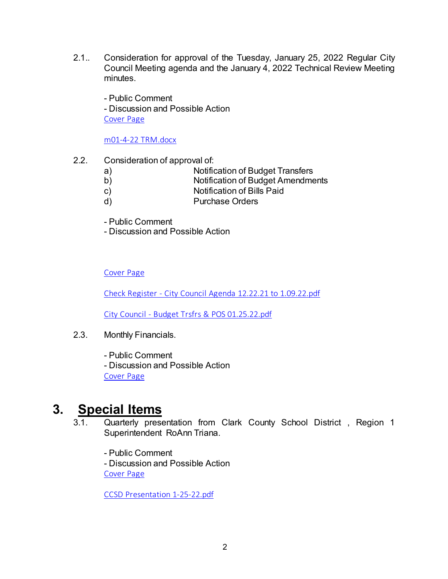2.1.. Consideration for approval of the Tuesday, January 25, 2022 Regular City Council Meeting agenda and the January 4, 2022 Technical Review Meeting minutes.

- Public Comment - Discussion and Possible Action [Cover Page](https://legistarweb-production.s3.amazonaws.com/uploads/attachment/pdf/1203207/d7f51e829f5a74b61d4ba58c7fc2e9100.pdf)

[m01-4-22 TRM.docx](https://legistarweb-production.s3.amazonaws.com/uploads/attachment/pdf/1203204/m01-4-22_TRM.pdf)

- 2.2. Consideration of approval of:
	- a) Notification of Budget Transfers
	- b) Notification of Budget Amendments
	- c) Notification of Bills Paid
	- d) Purchase Orders
	- Public Comment
	- Discussion and Possible Action

[Cover Page](https://legistarweb-production.s3.amazonaws.com/uploads/attachment/pdf/1203969/24b319808ffbabab103bda85faf87fb50.pdf)

[Check Register - City Council Agenda 12.22.21 to 1.09.22.pdf](https://legistarweb-production.s3.amazonaws.com/uploads/attachment/pdf/1203500/Check_Register_-_City_Council_Agenda_12.22.21_to_1.09.22.pdf)

[City Council - Budget Trsfrs & POS 01.25.22.pdf](https://legistarweb-production.s3.amazonaws.com/uploads/attachment/pdf/1203502/City_Council_-_Budget_Trsfrs___POS_01.25.22.pdf)

- 2.3. Monthly Financials.
	- Public Comment
	- Discussion and Possible Action [Cover Page](https://legistarweb-production.s3.amazonaws.com/uploads/attachment/pdf/1204188/1a26594584cfbbd8dc83f969d94a7b9c0.pdf)

## **3. Special Items**

- 3.1. Quarterly presentation from Clark County School District , Region 1 Superintendent RoAnn Triana.
	- Public Comment

- Discussion and Possible Action [Cover Page](https://legistarweb-production.s3.amazonaws.com/uploads/attachment/pdf/1203209/620843b5fad079e42153671950f26c9a0.pdf)

[CCSD Presentation 1-25-22.pdf](https://legistarweb-production.s3.amazonaws.com/uploads/attachment/pdf/1203208/CCSD_Presentation_1-25-22.pdf)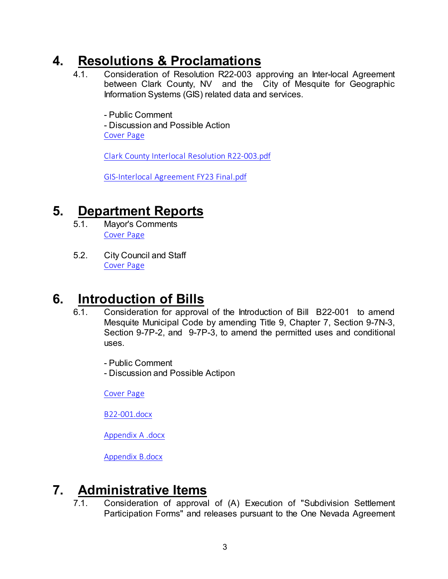## **4. Resolutions & Proclamations**

4.1. Consideration of Resolution R22-003 approving an Inter-local Agreement between Clark County, NV and the City of Mesquite for Geographic Information Systems (GIS) related data and services.

- Public Comment

- Discussion and Possible Action

[Cover Page](https://legistarweb-production.s3.amazonaws.com/uploads/attachment/pdf/1203106/cdba2c8015c57f9f21b5459dadc2cf320.pdf)

[Clark County Interlocal Resolution R22-003.pdf](https://legistarweb-production.s3.amazonaws.com/uploads/attachment/pdf/1196343/Clark_County_Interlocal_Resolution_R22-003.pdf)

[GIS-Interlocal Agreement FY23 Final.pdf](https://legistarweb-production.s3.amazonaws.com/uploads/attachment/pdf/1196344/GIS-Interlocal_Agreement_FY23_Final.pdf)

## **5. Department Reports**

- 5.1. Mayor's Comments [Cover Page](https://legistarweb-production.s3.amazonaws.com/uploads/attachment/pdf/1203110/908cd411a0d95f57adeb682030fcaa7c0.pdf)
- 5.2. City Council and Staff [Cover Page](https://legistarweb-production.s3.amazonaws.com/uploads/attachment/pdf/1203118/dbc41fe5fd836f5aa48736b094044d780.pdf)

## **6. Introduction of Bills**

- 6.1. Consideration for approval of the Introduction of Bill B22-001 to amend Mesquite Municipal Code by amending Title 9, Chapter 7, Section 9-7N-3, Section 9-7P-2, and 9-7P-3, to amend the permitted uses and conditional uses.
	- Public Comment
	- Discussion and Possible Actipon

[Cover Page](https://legistarweb-production.s3.amazonaws.com/uploads/attachment/pdf/1203129/9b10b11bb0a51e7cc606c52ca87bb76e0.pdf)

[B22-001.docx](https://legistarweb-production.s3.amazonaws.com/uploads/attachment/pdf/1202395/BILL22-001.pdf)

[Appendix A .docx](https://legistarweb-production.s3.amazonaws.com/uploads/attachment/pdf/1202396/Appendix_A_.pdf)

[Appendix B.docx](https://legistarweb-production.s3.amazonaws.com/uploads/attachment/pdf/1202397/Appendix_B.pdf)

## **7. Administrative Items**

7.1. Consideration of approval of (A) Execution of "Subdivision Settlement Participation Forms" and releases pursuant to the One Nevada Agreement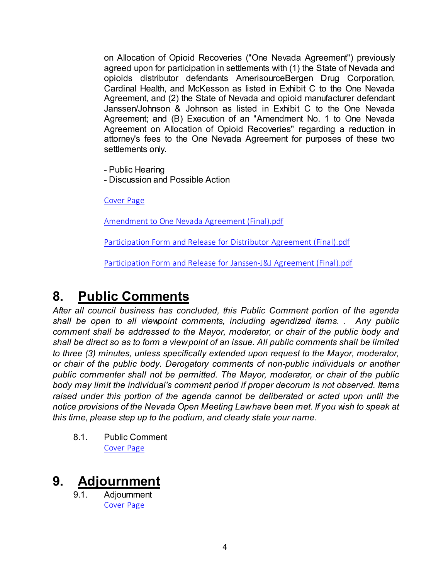on Allocation of Opioid Recoveries ("One Nevada Agreement") previously agreed upon for participation in settlements with (1) the State of Nevada and opioids distributor defendants AmerisourceBergen Drug Corporation, Cardinal Health, and McKesson as listed in Exhibit C to the One Nevada Agreement, and (2) the State of Nevada and opioid manufacturer defendant Janssen/Johnson & Johnson as listed in Exhibit C to the One Nevada Agreement; and (B) Execution of an "Amendment No. 1 to One Nevada Agreement on Allocation of Opioid Recoveries" regarding a reduction in attorney's fees to the One Nevada Agreement for purposes of these two settlements only.

- Public Hearing

- Discussion and Possible Action

[Cover Page](https://legistarweb-production.s3.amazonaws.com/uploads/attachment/pdf/1203132/54117a74fd71732832a041519254ae390.pdf)

[Amendment to One Nevada Agreement \(Final\).pdf](https://legistarweb-production.s3.amazonaws.com/uploads/attachment/pdf/1194238/Amendment_to_One_Nevada_Agreement__Final_.pdf)

[Participation Form and Release for Distributor Agreement \(Final\).pdf](https://legistarweb-production.s3.amazonaws.com/uploads/attachment/pdf/1194239/Participation_Form_and_Release_for_Distributor_Agreement__Final_.pdf)

[Participation Form and Release for Janssen-J&J Agreement \(Final\).pdf](https://legistarweb-production.s3.amazonaws.com/uploads/attachment/pdf/1194240/Participation_Form_and_Release_for_Janssen-J_J_Agreement__Final_.pdf)

## **8. Public Comments**

*After all council business has concluded, this Public Comment portion of the agenda shall be open to all viewpoint comments, including agendized items. . Any public comment shall be addressed to the Mayor, moderator, or chair of the public body and shall be direct so as to form a view point of an issue. All public comments shall be limited to three (3) minutes, unless specifically extended upon request to the Mayor, moderator, or chair of the public body. Derogatory comments of non-public individuals or another public commenter shall not be permitted. The Mayor, moderator, or chair of the public body may limit the individual's comment period if proper decorum is not observed. Items raised under this portion of the agenda cannot be deliberated or acted upon until the notice provisions of the Nevada Open Meeting Law have been met. If you wish to speak at this time, please step up to the podium, and clearly state your name.*

8.1. Public Comment [Cover Page](https://legistarweb-production.s3.amazonaws.com/uploads/attachment/pdf/1203087/bc80af921de5393151e9a0cc61f620f30.pdf)

## **9. Adjournment**

9.1. Adjournment [Cover Page](https://legistarweb-production.s3.amazonaws.com/uploads/attachment/pdf/1203192/7c56f3b07cf8438bf6149f06ba77a4480.pdf)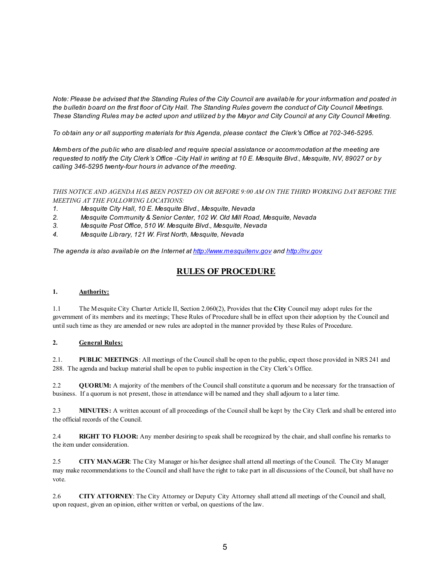*Note: Please be advised that the Standing Rules of the City Council are available for your information and posted in the bulletin board on the first floor of City Hall. The Standing Rules govern the conduct of City Council Meetings. These Standing Rules may be acted upon and utilized by the Mayor and City Council at any City Council Meeting.*

*To obtain any or all supporting materials for this Agenda, please contact the Clerk's Office at 702-346-5295.*

*Members of the public who are disabled and require special assistance or accommodation at the meeting are requested to notify the City Clerk's Office -City Hall in writing at 10 E. Mesquite Blvd., Mesquite, NV, 89027 or by calling 346-5295 twenty-four hours in advance of the meeting.*

*THIS NOTICE AND AGENDA HAS BEEN POSTED ON OR BEFORE 9:00 AM ON THE THIRD WORKING DAY BEFORE THE MEETING AT THE FOLLOWING LOCATIONS:* 

- *1. Mesquite City Hall, 10 E. Mesquite Blvd., Mesquite, Nevada*
- *2. Mesquite Community & Senior Center, 102 W. Old Mill Road, Mesquite, Nevada*
- *3. Mesquite Post Office, 510 W. Mesquite Blvd., Mesquite, Nevada*
- *4. Mesquite Library, 121 W. First North, Mesquite, Nevada*

*The agenda is also available on the Internet at<http://www.mesquitenv.gov> and [http://nv.gov](http://nv.gov/)*

### **RULES OF PROCEDURE**

### **1. Authority:**

1.1 The Mesquite City Charter Article II, Section 2.060(2), Provides that the **City** Council may adopt rules for the government of its members and its meetings; These Rules of Procedure shall be in effect upon their adoption by the Council and until such time as they are amended or new rules are adopted in the manner provided by these Rules of Procedure.

### **2. General Rules:**

2.1. **PUBLIC MEETINGS**: All meetings of the Council shall be open to the public, expect those provided in NRS 241 and 288. The agenda and backup material shall be open to public inspection in the City Clerk's Office.

2.2 **QUORUM:** A majority of the members of the Council shall constitute a quorum and be necessary for the transaction of business. If a quorum is not present, those in attendance will be named and they shall adjourn to a later time.

2.3 **MINUTES:** A written account of all proceedings of the Council shall be kept by the City Clerk and shall be entered into the official records of the Council.

2.4 **RIGHT TO FLOOR:** Any member desiring to speak shall be recognized by the chair, and shall confine his remarks to the item under consideration.

2.5 **CITY MANAGER**: The City Manager or his/her designee shall attend all meetings of the Council. The City Manager may make recommendations to the Council and shall have the right to take part in all discussions of the Council, but shall have no vote.

2.6 **CITY ATTORNEY**: The City Attorney or Deputy City Attorney shall attend all meetings of the Council and shall, upon request, given an opinion, either written or verbal, on questions of the law.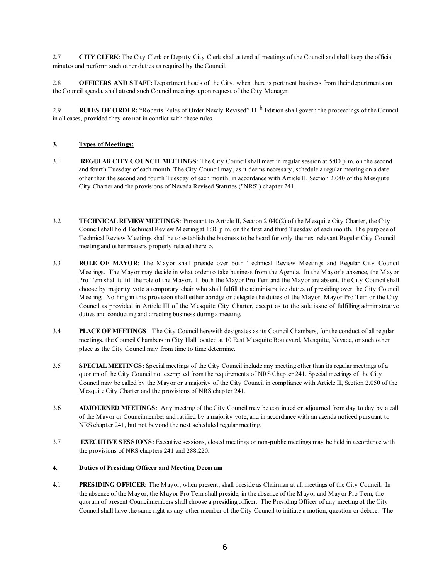2.7 **CITY CLERK**: The City Clerk or Deputy City Clerk shall attend all meetings of the Council and shall keep the official minutes and perform such other duties as required by the Council.

2.8 **OFFICERS AND STAFF:** Department heads of the City, when there is pertinent business from their departments on the Council agenda, shall attend such Council meetings upon request of the City Manager.

2.9 **RULES OF ORDER:** "Roberts Rules of Order Newly Revised" 11th Edition shall govern the proceedings of the Council in all cases, provided they are not in conflict with these rules.

### **3. Types of Meetings:**

- 3.1 **REGULAR CITY COUNCIL MEETINGS**: The City Council shall meet in regular session at 5:00 p.m. on the second and fourth Tuesday of each month. The City Council may, as it deems necessary, schedule a regular meeting on a date other than the second and fourth Tuesday of each month, in accordance with Article II, Section 2.040 of the Mesquite City Charter and the provisions of Nevada Revised Statutes ("NRS") chapter 241.
- 3.2 **TECHNICAL REVIEW MEETINGS**: Pursuant to Article II, Section 2.040(2) of the Mesquite City Charter, the City Council shall hold Technical Review Meeting at 1:30 p.m. on the first and third Tuesday of each month. The purpose of Technical Review Meetings shall be to establish the business to be heard for only the next relevant Regular City Council meeting and other matters properly related thereto.
- 3.3 **ROLE OF MAYOR**: The Mayor shall preside over both Technical Review Meetings and Regular City Council Meetings. The Mayor may decide in what order to take business from the Agenda. In the Mayor's absence, the Mayor Pro Tem shall fulfill the role of the Mayor. If both the Mayor Pro Tem and the Mayor are absent, the City Council shall choose by majority vote a temporary chair who shall fulfill the administrative duties of presiding over the City Council Meeting. Nothing in this provision shall either abridge or delegate the duties of the Mayor, Mayor Pro Tem or the City Council as provided in Article III of the Mesquite City Charter, except as to the sole issue of fulfilling administrative duties and conducting and directing business during a meeting.
- 3.4 **PLACE OF MEETINGS**: The City Council herewith designates as its Council Chambers, for the conduct of all regular meetings, the Council Chambers in City Hall located at 10 East Mesquite Boulevard, Mesquite, Nevada, or such other place as the City Council may from time to time determine.
- 3.5 **SPECIAL MEETINGS**: Special meetings of the City Council include any meeting other than its regular meetings of a quorum of the City Council not exempted from the requirements of NRS Chapter 241. Special meetings of the City Council may be called by the Mayor or a majority of the City Council in compliance with Article II, Section 2.050 of the Mesquite City Charter and the provisions of NRS chapter 241.
- 3.6 **ADJOURNED MEETINGS**: Any meeting of the City Council may be continued or adjourned from day to day by a call of the Mayor or Councilmember and ratified by a majority vote, and in accordance with an agenda noticed pursuant to NRS chapter 241, but not beyond the next scheduled regular meeting.
- 3.7 **EXECUTIVE SESSIONS**: Executive sessions, closed meetings or non-public meetings may be held in accordance with the provisions of NRS chapters 241 and 288.220.

### **4. Duties of Presiding Officer and Meeting Decorum**

4.1 **PRESIDING OFFICER:** The Mayor, when present, shall preside as Chairman at all meetings of the City Council. In the absence of the Mayor, the Mayor Pro Tern shall preside; in the absence of the Mayor and Mayor Pro Tern, the quorum of present Councilmembers shall choose a presiding officer. The Presiding Officer of any meeting of the City Council shall have the same right as any other member of the City Council to initiate a motion, question or debate. The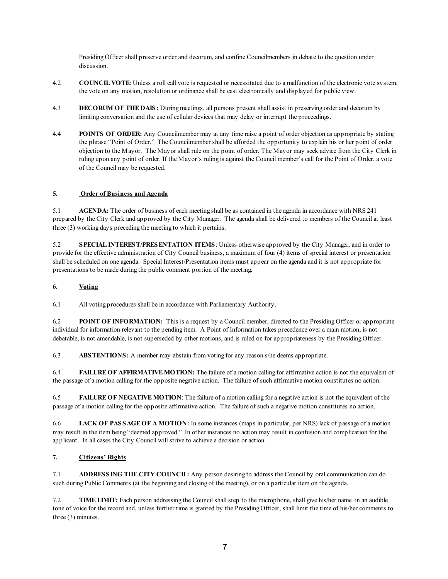Presiding Officer shall preserve order and decorum, and confine Councilmembers in debate to the question under discussion.

- 4.2 **COUNCIL VOTE**: Unless a roll call vote is requested or necessitated due to a malfunction of the electronic vote system, the vote on any motion, resolution or ordinance shall be cast electronically and displayed for public view.
- 4.3 **DECORUM OF THE DAIS:** During meetings, all persons present shall assist in preserving order and decorum by limiting conversation and the use of cellular devices that may delay or interrupt the proceedings.
- 4.4 **POINTS OF ORDER:** Any Councilmember may at any time raise a point of order objection as appropriate by stating the phrase "Point of Order." The Councilmember shall be afforded the opportunity to explain his or her point of order objection to the Mayor. The Mayor shall rule on the point of order. The Mayor may seek advice from the City Clerk in ruling upon any point of order. If the Mayor's ruling is against the Council member's call for the Point of Order, a vote of the Council may be requested.

### **5. Order of Business and Agenda**

5.1 **AGENDA:** The order of business of each meeting shall be as contained in the agenda in accordance with NRS 241 prepared by the City Clerk and approved by the City Manager. The agenda shall be delivered to members of the Council at least three (3) working days preceding the meeting to which it pertains.

5.2 **SPECIAL INTEREST/PRESENTATION ITEMS**: Unless otherwise approved by the City Manager, and in order to provide for the effective administration of City Council business, a maximum of four (4) items of special interest or presentation shall be scheduled on one agenda. Special Interest/Presentation items must appear on the agenda and it is not appropriate for presentations to be made during the public comment portion of the meeting.

### **6. Voting**

6.1 All voting procedures shall be in accordance with Parliamentary Authority.

6.2 **POINT OF INFORMATION:** This is a request by a Council member, directed to the Presiding Officer or appropriate individual for information relevant to the pending item. A Point of Information takes precedence over a main motion, is not debatable, is not amendable, is not superseded by other motions, and is ruled on for appropriateness by the Presiding Officer.

6.3 **ABSTENTIONS:** A member may abstain from voting for any reason s/he deems appropriate.

6.4 **FAILURE OF AFFIRMATIVE MOTION:** The failure of a motion calling for affirmative action is not the equivalent of the passage of a motion calling for the opposite negative action. The failure of such affirmative motion constitutes no action.

6.5 **FAILURE OF NEGATIVE MOTION**: The failure of a motion calling for a negative action is not the equivalent of the passage of a motion calling for the opposite affirmative action. The failure of such a negative motion constitutes no action.

6.6 **LACK OF PASSAGE OF A MOTION:** In some instances (maps in particular, per NRS) lack of passage of a motion may result in the item being "deemed approved." In other instances no action may result in confusion and complication for the applicant. In all cases the City Council will strive to achieve a decision or action.

### **7. Citizens' Rights**

7.1 **ADDRESSING THE CITY COUNCIL:** Any person desiring to address the Council by oral communication can do such during Public Comments (at the beginning and closing of the meeting), or on a particular item on the agenda.

7.2 **TIME LIMIT:** Each person addressing the Council shall step to the microphone, shall give his/her name in an audible tone of voice for the record and, unless further time is granted by the Presiding Officer, shall limit the time of his/her comments to three (3) minutes.